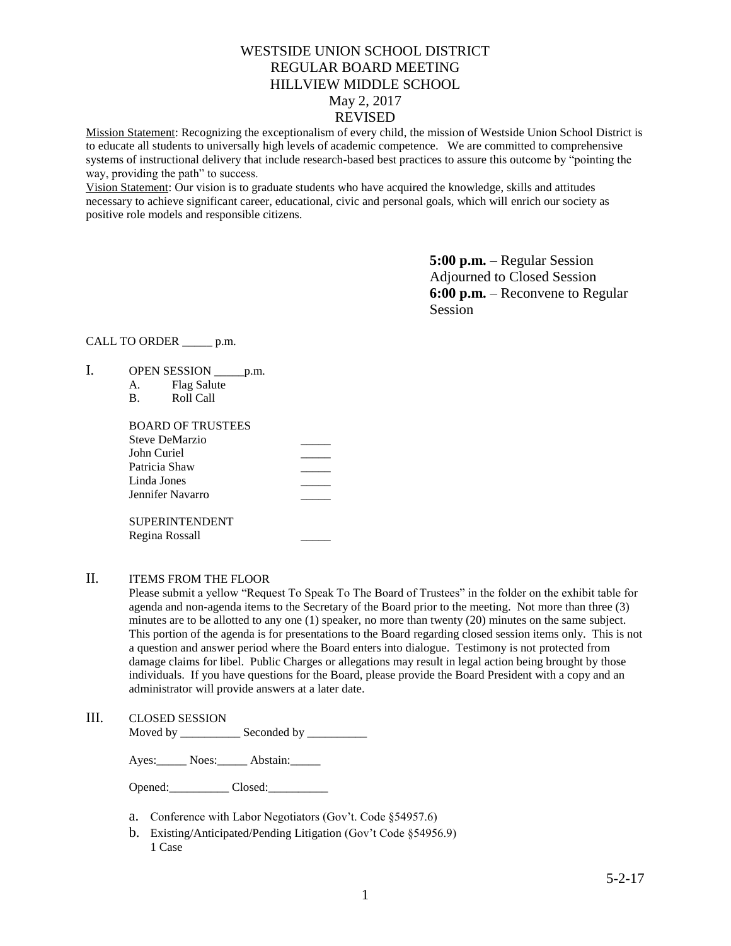# WESTSIDE UNION SCHOOL DISTRICT REGULAR BOARD MEETING HILLVIEW MIDDLE SCHOOL May 2, 2017

# REVISED

Mission Statement: Recognizing the exceptionalism of every child, the mission of Westside Union School District is to educate all students to universally high levels of academic competence. We are committed to comprehensive systems of instructional delivery that include research-based best practices to assure this outcome by "pointing the way, providing the path" to success.

Vision Statement: Our vision is to graduate students who have acquired the knowledge, skills and attitudes necessary to achieve significant career, educational, civic and personal goals, which will enrich our society as positive role models and responsible citizens.

> **5:00 p.m.** – Regular Session Adjourned to Closed Session **6:00 p.m.** – Reconvene to Regular Session

### CALL TO ORDER \_\_\_\_\_ p.m.

- I. OPEN SESSION \_\_\_\_\_\_ p.m.
	- A. Flag Salute
	- B. Roll Call

| <b>BOARD OF TRUSTEES</b> |  |
|--------------------------|--|
| <b>Steve DeMarzio</b>    |  |
| John Curiel              |  |
| Patricia Shaw            |  |
| Linda Jones              |  |
| Jennifer Navarro         |  |
| <b>SUPERINTENDENT</b>    |  |
| Regina Rossall           |  |

### II. ITEMS FROM THE FLOOR

Please submit a yellow "Request To Speak To The Board of Trustees" in the folder on the exhibit table for agenda and non-agenda items to the Secretary of the Board prior to the meeting. Not more than three (3) minutes are to be allotted to any one (1) speaker, no more than twenty (20) minutes on the same subject. This portion of the agenda is for presentations to the Board regarding closed session items only. This is not a question and answer period where the Board enters into dialogue. Testimony is not protected from damage claims for libel. Public Charges or allegations may result in legal action being brought by those individuals. If you have questions for the Board, please provide the Board President with a copy and an administrator will provide answers at a later date.

## III. CLOSED SESSION

Moved by \_\_\_\_\_\_\_\_\_\_\_\_\_ Seconded by \_\_\_\_\_\_\_\_\_\_\_

Ayes: Noes: Abstain:

Opened: Closed:

- a. Conference with Labor Negotiators (Gov't. Code §54957.6)
- b. Existing/Anticipated/Pending Litigation (Gov't Code §54956.9) 1 Case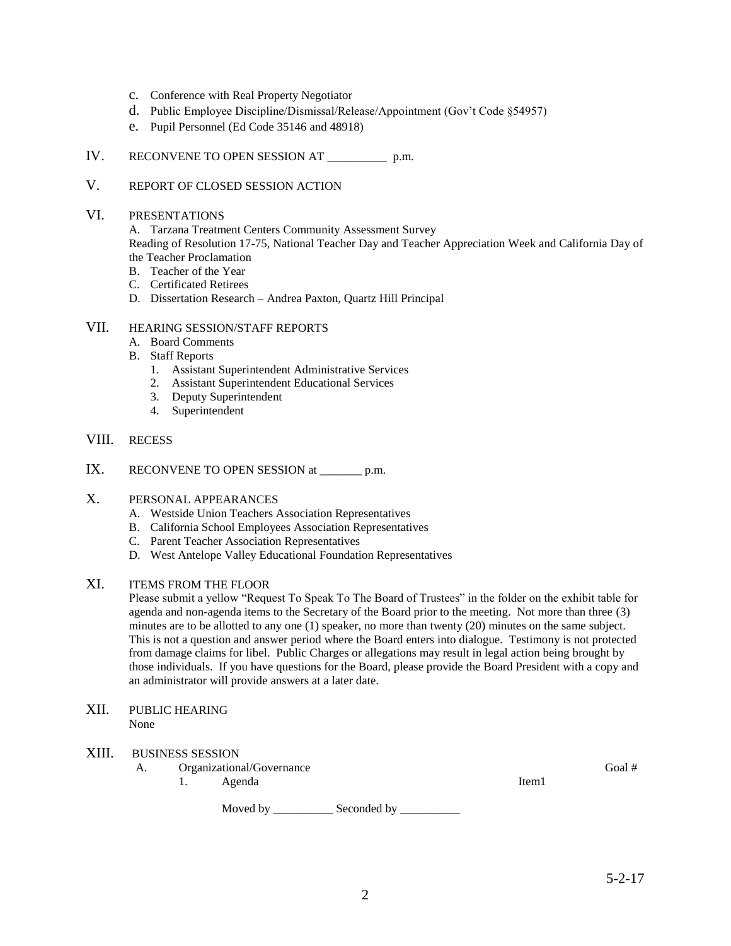- c. Conference with Real Property Negotiator
- d. Public Employee Discipline/Dismissal/Release/Appointment (Gov't Code §54957)
- e. Pupil Personnel (Ed Code 35146 and 48918)
- IV. RECONVENE TO OPEN SESSION AT \_\_\_\_\_\_\_\_\_\_ p.m.

# V. REPORT OF CLOSED SESSION ACTION

#### VI. PRESENTATIONS

A. Tarzana Treatment Centers Community Assessment Survey Reading of Resolution 17-75, National Teacher Day and Teacher Appreciation Week and California Day of the Teacher Proclamation

- B. Teacher of the Year
- C. Certificated Retirees
- D. Dissertation Research Andrea Paxton, Quartz Hill Principal

# VII. HEARING SESSION/STAFF REPORTS

- A. Board Comments
- B. Staff Reports
	- 1. Assistant Superintendent Administrative Services
	- 2. Assistant Superintendent Educational Services
	- 3. Deputy Superintendent
	- 4. Superintendent

## VIII. RECESS

IX. RECONVENE TO OPEN SESSION at \_\_\_\_\_\_\_\_ p.m.

### X. PERSONAL APPEARANCES

- A. Westside Union Teachers Association Representatives
- B. California School Employees Association Representatives
- C. Parent Teacher Association Representatives
- D. West Antelope Valley Educational Foundation Representatives

### XI. ITEMS FROM THE FLOOR

Please submit a yellow "Request To Speak To The Board of Trustees" in the folder on the exhibit table for agenda and non-agenda items to the Secretary of the Board prior to the meeting. Not more than three (3) minutes are to be allotted to any one (1) speaker, no more than twenty (20) minutes on the same subject. This is not a question and answer period where the Board enters into dialogue. Testimony is not protected from damage claims for libel. Public Charges or allegations may result in legal action being brought by those individuals. If you have questions for the Board, please provide the Board President with a copy and an administrator will provide answers at a later date.

XII. PUBLIC HEARING None

#### XIII. BUSINESS SESSION

- A. Organizational/Governance Goal #
	- 1. Agenda

Item1

Moved by \_\_\_\_\_\_\_\_\_\_\_\_\_ Seconded by \_\_\_\_\_\_\_\_\_\_\_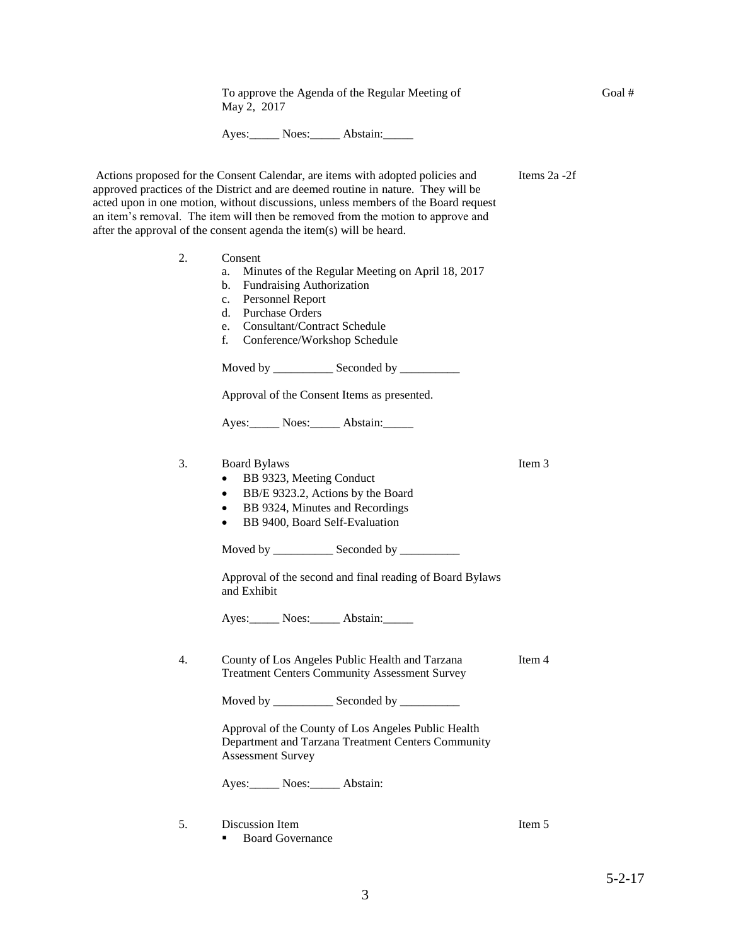Actions proposed for the Consent Calendar, are items with adopted policies and approved practices of the District and are deemed routine in nature. They will be acted upon in one motion, without discussions, unless members of the Board request an item's removal. The item will then be removed from the motion to approve and after the approval of the consent agenda the item(s) will be heard. 2. Consent a. Minutes of the Regular Meeting on April 18, 2017 b. Fundraising Authorization c. Personnel Report d. Purchase Orders e. Consultant/Contract Schedule f. Conference/Workshop Schedule Moved by \_\_\_\_\_\_\_\_\_\_\_\_\_ Seconded by \_\_\_\_\_\_\_\_\_\_\_ Approval of the Consent Items as presented. Ayes: Noes: Abstain: Items 2a -2f 3. Board Bylaws • BB 9323, Meeting Conduct BB/E 9323.2, Actions by the Board • BB 9324, Minutes and Recordings • BB 9400, Board Self-Evaluation Moved by \_\_\_\_\_\_\_\_\_\_\_\_\_ Seconded by \_\_\_\_\_\_\_\_\_\_\_ Approval of the second and final reading of Board Bylaws and Exhibit Ayes: Noes: Abstain: Item 3 4. County of Los Angeles Public Health and Tarzana Treatment Centers Community Assessment Survey Moved by \_\_\_\_\_\_\_\_\_\_\_\_\_ Seconded by \_\_\_\_\_\_\_\_\_\_\_ Approval of the County of Los Angeles Public Health Department and Tarzana Treatment Centers Community Assessment Survey Ayes:\_\_\_\_\_ Noes:\_\_\_\_\_ Abstain: Item 4 5. Discussion Item ■ Board Governance Item 5

To approve the Agenda of the Regular Meeting of

Ayes: Noes: Abstain:

May 2, 2017

Goal #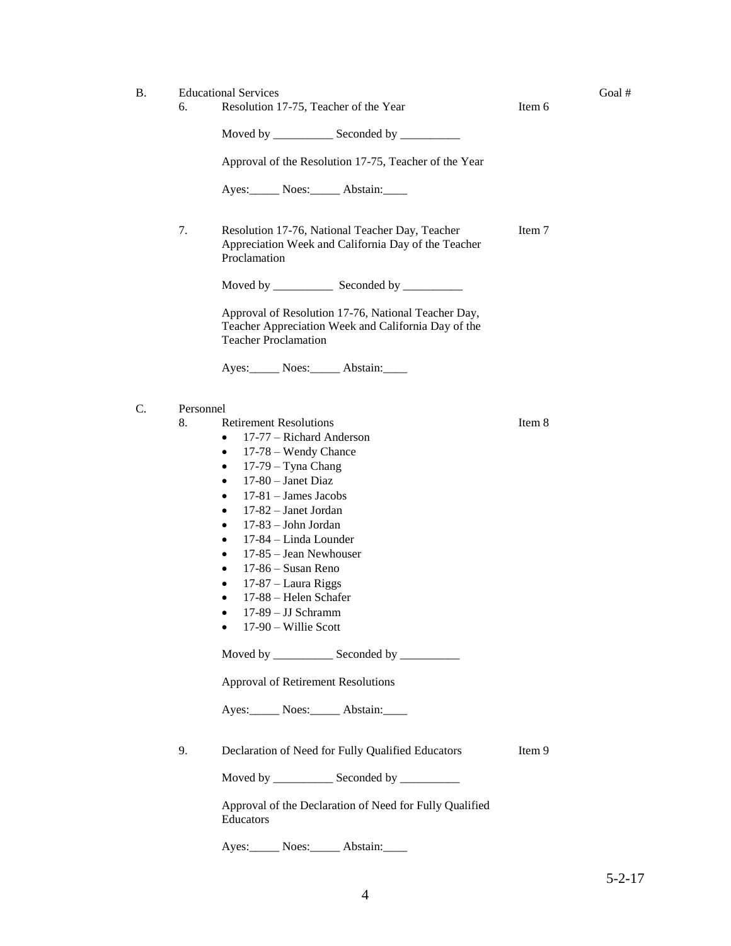- B. Educational Services Goal #
	- 6. Resolution 17-75, Teacher of the Year Item 6

Moved by \_\_\_\_\_\_\_\_\_\_ Seconded by \_\_\_\_\_\_\_\_\_\_

Approval of the Resolution 17-75, Teacher of the Year

Ayes:\_\_\_\_\_\_ Noes:\_\_\_\_\_\_ Abstain:\_\_\_\_\_

7. Resolution 17-76, National Teacher Day, Teacher Appreciation Week and California Day of the Teacher Proclamation Item 7

Moved by \_\_\_\_\_\_\_\_\_\_ Seconded by \_\_\_\_\_\_\_\_\_\_

Approval of Resolution 17-76, National Teacher Day, Teacher Appreciation Week and California Day of the Teacher Proclamation

Ayes: Noes: Abstain:

- C. Personnel
	- 8. Retirement Resolutions
		- 17-77 Richard Anderson
		- 17-78 Wendy Chance
		- 17-79 Tyna Chang
		- $\bullet$  17-80 Janet Diaz
		- $\bullet$  17-81 James Jacobs
		- 17-82 Janet Jordan
		- 17-83 John Jordan
		- 17-84 Linda Lounder
		- 17-85 Jean Newhouser
		- 17-86 Susan Reno
		- 17-87 Laura Riggs
		- 17-88 Helen Schafer
		- 17-89 JJ Schramm
		- 17-90 Willie Scott

Moved by \_\_\_\_\_\_\_\_\_\_\_\_\_\_ Seconded by \_\_\_\_\_\_\_\_\_\_\_

Approval of Retirement Resolutions

Ayes: Noes: Abstain:

9. Declaration of Need for Fully Qualified Educators

Item 9

Item 8

Moved by \_\_\_\_\_\_\_\_\_\_\_\_\_\_ Seconded by \_\_\_\_\_\_\_\_\_\_\_

Approval of the Declaration of Need for Fully Qualified Educators

Ayes: Noes: Abstain: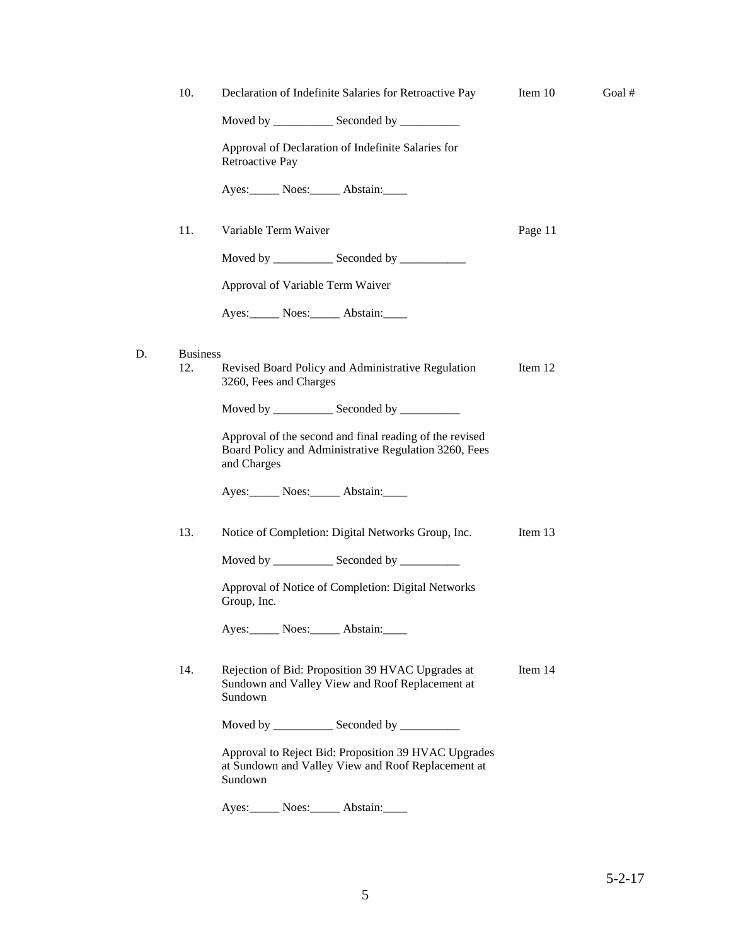| 10.             | Declaration of Indefinite Salaries for Retroactive Pay                                                                          | Item 10 | Goal # |
|-----------------|---------------------------------------------------------------------------------------------------------------------------------|---------|--------|
|                 | Moved by _______________ Seconded by ____________                                                                               |         |        |
|                 | Approval of Declaration of Indefinite Salaries for<br>Retroactive Pay                                                           |         |        |
|                 | Ayes: Noes: Abstain:                                                                                                            |         |        |
| 11.             | Variable Term Waiver                                                                                                            | Page 11 |        |
|                 | Moved by ______________ Seconded by ___________                                                                                 |         |        |
|                 | Approval of Variable Term Waiver                                                                                                |         |        |
|                 | Ayes: Noes: Abstain:                                                                                                            |         |        |
| <b>Business</b> |                                                                                                                                 |         |        |
| 12.             | Revised Board Policy and Administrative Regulation<br>3260, Fees and Charges                                                    | Item 12 |        |
|                 | Moved by _____________ Seconded by ___________                                                                                  |         |        |
|                 | Approval of the second and final reading of the revised<br>Board Policy and Administrative Regulation 3260, Fees<br>and Charges |         |        |
|                 | Ayes: Noes: Abstain:                                                                                                            |         |        |
| 13.             | Notice of Completion: Digital Networks Group, Inc.                                                                              | Item 13 |        |
|                 | Moved by ______________ Seconded by ___________                                                                                 |         |        |
|                 | Approval of Notice of Completion: Digital Networks<br>Group, Inc.                                                               |         |        |
|                 | Ayes: Noes: Abstain:                                                                                                            |         |        |
| 14.             | Rejection of Bid: Proposition 39 HVAC Upgrades at<br>Sundown and Valley View and Roof Replacement at<br>Sundown                 | Item 14 |        |
|                 | Moved by _______________ Seconded by ____________                                                                               |         |        |
|                 | Approval to Reject Bid: Proposition 39 HVAC Upgrades<br>at Sundown and Valley View and Roof Replacement at<br>Sundown           |         |        |
|                 | Ayes: Noes: Abstain:                                                                                                            |         |        |

 ${\mathbb D}.$ 

5-2-17